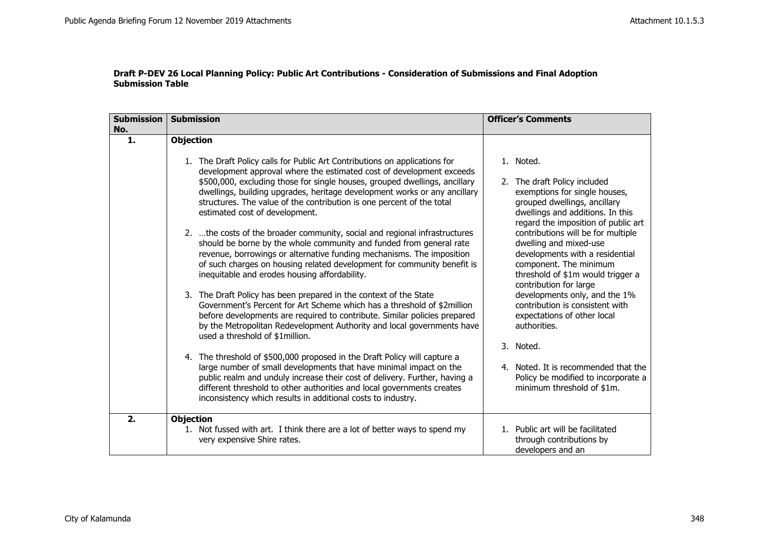| <b>Submission</b><br>No. | <b>Submission</b>                                                                                                                                                                                                                                                                                                                                                                                                                                                                                                                                                                                                  | <b>Officer's Comments</b>                                                                                                                                                                                                                                                          |
|--------------------------|--------------------------------------------------------------------------------------------------------------------------------------------------------------------------------------------------------------------------------------------------------------------------------------------------------------------------------------------------------------------------------------------------------------------------------------------------------------------------------------------------------------------------------------------------------------------------------------------------------------------|------------------------------------------------------------------------------------------------------------------------------------------------------------------------------------------------------------------------------------------------------------------------------------|
| 1.                       | <b>Objection</b><br>1. The Draft Policy calls for Public Art Contributions on applications for<br>development approval where the estimated cost of development exceeds<br>\$500,000, excluding those for single houses, grouped dwellings, ancillary<br>dwellings, building upgrades, heritage development works or any ancillary<br>structures. The value of the contribution is one percent of the total<br>estimated cost of development.<br>2.  the costs of the broader community, social and regional infrastructures                                                                                        | 1. Noted.<br>2. The draft Policy included<br>exemptions for single houses,<br>grouped dwellings, ancillary<br>dwellings and additions. In this<br>regard the imposition of public art<br>contributions will be for multiple                                                        |
|                          | should be borne by the whole community and funded from general rate<br>revenue, borrowings or alternative funding mechanisms. The imposition<br>of such charges on housing related development for community benefit is<br>inequitable and erodes housing affordability.<br>3. The Draft Policy has been prepared in the context of the State<br>Government's Percent for Art Scheme which has a threshold of \$2million<br>before developments are required to contribute. Similar policies prepared<br>by the Metropolitan Redevelopment Authority and local governments have<br>used a threshold of \$1million. | dwelling and mixed-use<br>developments with a residential<br>component. The minimum<br>threshold of \$1m would trigger a<br>contribution for large<br>developments only, and the 1%<br>contribution is consistent with<br>expectations of other local<br>authorities.<br>3. Noted. |
|                          | 4. The threshold of \$500,000 proposed in the Draft Policy will capture a<br>large number of small developments that have minimal impact on the<br>public realm and unduly increase their cost of delivery. Further, having a<br>different threshold to other authorities and local governments creates<br>inconsistency which results in additional costs to industry.                                                                                                                                                                                                                                            | 4. Noted. It is recommended that the<br>Policy be modified to incorporate a<br>minimum threshold of \$1m.                                                                                                                                                                          |
| 2.                       | <b>Objection</b><br>1. Not fussed with art. I think there are a lot of better ways to spend my<br>very expensive Shire rates.                                                                                                                                                                                                                                                                                                                                                                                                                                                                                      | 1. Public art will be facilitated<br>through contributions by<br>developers and an                                                                                                                                                                                                 |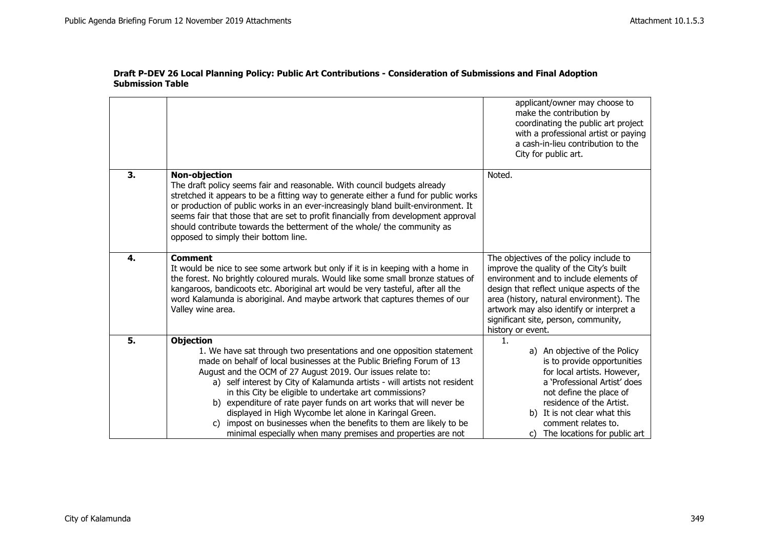|    |                                                                                                                                                                                                                                                                                                                                                                                                                                                                                                                                                                                                                                                   | applicant/owner may choose to<br>make the contribution by<br>coordinating the public art project<br>with a professional artist or paying<br>a cash-in-lieu contribution to the<br>City for public art.                                                                                                                         |
|----|---------------------------------------------------------------------------------------------------------------------------------------------------------------------------------------------------------------------------------------------------------------------------------------------------------------------------------------------------------------------------------------------------------------------------------------------------------------------------------------------------------------------------------------------------------------------------------------------------------------------------------------------------|--------------------------------------------------------------------------------------------------------------------------------------------------------------------------------------------------------------------------------------------------------------------------------------------------------------------------------|
| 3. | <b>Non-objection</b><br>The draft policy seems fair and reasonable. With council budgets already<br>stretched it appears to be a fitting way to generate either a fund for public works<br>or production of public works in an ever-increasingly bland built-environment. It<br>seems fair that those that are set to profit financially from development approval<br>should contribute towards the betterment of the whole/ the community as<br>opposed to simply their bottom line.                                                                                                                                                             | Noted.                                                                                                                                                                                                                                                                                                                         |
| 4. | <b>Comment</b><br>It would be nice to see some artwork but only if it is in keeping with a home in<br>the forest. No brightly coloured murals. Would like some small bronze statues of<br>kangaroos, bandicoots etc. Aboriginal art would be very tasteful, after all the<br>word Kalamunda is aboriginal. And maybe artwork that captures themes of our<br>Valley wine area.                                                                                                                                                                                                                                                                     | The objectives of the policy include to<br>improve the quality of the City's built<br>environment and to include elements of<br>design that reflect unique aspects of the<br>area (history, natural environment). The<br>artwork may also identify or interpret a<br>significant site, person, community,<br>history or event. |
| 5. | <b>Objection</b><br>1. We have sat through two presentations and one opposition statement<br>made on behalf of local businesses at the Public Briefing Forum of 13<br>August and the OCM of 27 August 2019. Our issues relate to:<br>a) self interest by City of Kalamunda artists - will artists not resident<br>in this City be eligible to undertake art commissions?<br>b) expenditure of rate payer funds on art works that will never be<br>displayed in High Wycombe let alone in Karingal Green.<br>impost on businesses when the benefits to them are likely to be<br>C)<br>minimal especially when many premises and properties are not | $\mathbf{1}$ .<br>a) An objective of the Policy<br>is to provide opportunities<br>for local artists. However,<br>a 'Professional Artist' does<br>not define the place of<br>residence of the Artist.<br>b) It is not clear what this<br>comment relates to.<br>c) The locations for public art                                 |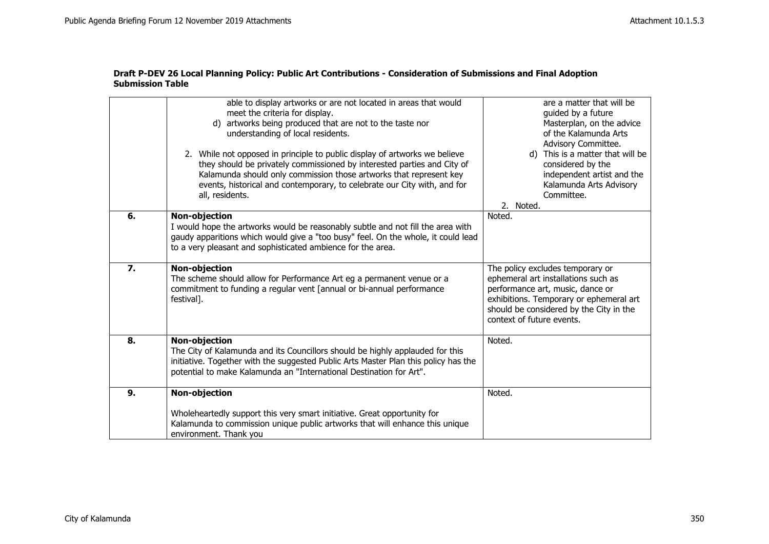|    | able to display artworks or are not located in areas that would<br>meet the criteria for display.<br>d) artworks being produced that are not to the taste nor<br>understanding of local residents.<br>2. While not opposed in principle to public display of artworks we believe<br>they should be privately commissioned by interested parties and City of<br>Kalamunda should only commission those artworks that represent key<br>events, historical and contemporary, to celebrate our City with, and for<br>all, residents. | are a matter that will be<br>quided by a future<br>Masterplan, on the advice<br>of the Kalamunda Arts<br>Advisory Committee.<br>d) This is a matter that will be<br>considered by the<br>independent artist and the<br>Kalamunda Arts Advisory<br>Committee.<br>2. Noted. |
|----|----------------------------------------------------------------------------------------------------------------------------------------------------------------------------------------------------------------------------------------------------------------------------------------------------------------------------------------------------------------------------------------------------------------------------------------------------------------------------------------------------------------------------------|---------------------------------------------------------------------------------------------------------------------------------------------------------------------------------------------------------------------------------------------------------------------------|
| 6. | <b>Non-objection</b><br>I would hope the artworks would be reasonably subtle and not fill the area with<br>gaudy apparitions which would give a "too busy" feel. On the whole, it could lead<br>to a very pleasant and sophisticated ambience for the area.                                                                                                                                                                                                                                                                      | Noted.                                                                                                                                                                                                                                                                    |
| 7. | Non-objection<br>The scheme should allow for Performance Art eg a permanent venue or a<br>commitment to funding a regular vent [annual or bi-annual performance<br>festival].                                                                                                                                                                                                                                                                                                                                                    | The policy excludes temporary or<br>ephemeral art installations such as<br>performance art, music, dance or<br>exhibitions. Temporary or ephemeral art<br>should be considered by the City in the<br>context of future events.                                            |
| 8. | Non-objection<br>The City of Kalamunda and its Councillors should be highly applauded for this<br>initiative. Together with the suggested Public Arts Master Plan this policy has the<br>potential to make Kalamunda an "International Destination for Art".                                                                                                                                                                                                                                                                     | Noted.                                                                                                                                                                                                                                                                    |
| 9. | <b>Non-objection</b><br>Wholeheartedly support this very smart initiative. Great opportunity for<br>Kalamunda to commission unique public artworks that will enhance this unique<br>environment. Thank you                                                                                                                                                                                                                                                                                                                       | Noted.                                                                                                                                                                                                                                                                    |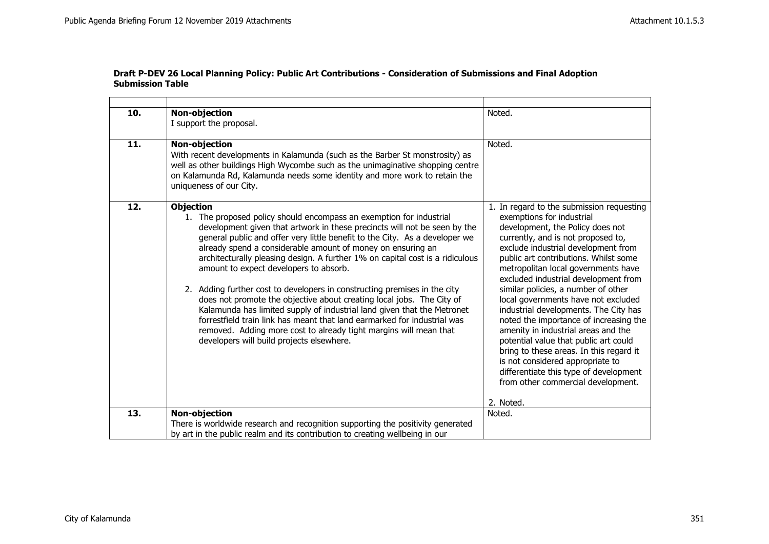$\overline{\phantom{0}}$ 

| 10. | Non-objection<br>I support the proposal.                                                                                                                                                                                                                                                                                                                                                                                                                                                                                                                                                                                                                                                                                                                                                                                                                                     | Noted.                                                                                                                                                                                                                                                                                                                                                                                                                                                                                                                                                                                                                                                                                                                                       |
|-----|------------------------------------------------------------------------------------------------------------------------------------------------------------------------------------------------------------------------------------------------------------------------------------------------------------------------------------------------------------------------------------------------------------------------------------------------------------------------------------------------------------------------------------------------------------------------------------------------------------------------------------------------------------------------------------------------------------------------------------------------------------------------------------------------------------------------------------------------------------------------------|----------------------------------------------------------------------------------------------------------------------------------------------------------------------------------------------------------------------------------------------------------------------------------------------------------------------------------------------------------------------------------------------------------------------------------------------------------------------------------------------------------------------------------------------------------------------------------------------------------------------------------------------------------------------------------------------------------------------------------------------|
| 11. | <b>Non-objection</b><br>With recent developments in Kalamunda (such as the Barber St monstrosity) as<br>well as other buildings High Wycombe such as the unimaginative shopping centre<br>on Kalamunda Rd, Kalamunda needs some identity and more work to retain the<br>uniqueness of our City.                                                                                                                                                                                                                                                                                                                                                                                                                                                                                                                                                                              | Noted.                                                                                                                                                                                                                                                                                                                                                                                                                                                                                                                                                                                                                                                                                                                                       |
| 12. | <b>Objection</b><br>1. The proposed policy should encompass an exemption for industrial<br>development given that artwork in these precincts will not be seen by the<br>general public and offer very little benefit to the City. As a developer we<br>already spend a considerable amount of money on ensuring an<br>architecturally pleasing design. A further 1% on capital cost is a ridiculous<br>amount to expect developers to absorb.<br>2. Adding further cost to developers in constructing premises in the city<br>does not promote the objective about creating local jobs. The City of<br>Kalamunda has limited supply of industrial land given that the Metronet<br>forrestfield train link has meant that land earmarked for industrial was<br>removed. Adding more cost to already tight margins will mean that<br>developers will build projects elsewhere. | 1. In regard to the submission requesting<br>exemptions for industrial<br>development, the Policy does not<br>currently, and is not proposed to,<br>exclude industrial development from<br>public art contributions. Whilst some<br>metropolitan local governments have<br>excluded industrial development from<br>similar policies, a number of other<br>local governments have not excluded<br>industrial developments. The City has<br>noted the importance of increasing the<br>amenity in industrial areas and the<br>potential value that public art could<br>bring to these areas. In this regard it<br>is not considered appropriate to<br>differentiate this type of development<br>from other commercial development.<br>2. Noted. |
| 13. | Non-objection                                                                                                                                                                                                                                                                                                                                                                                                                                                                                                                                                                                                                                                                                                                                                                                                                                                                | Noted.                                                                                                                                                                                                                                                                                                                                                                                                                                                                                                                                                                                                                                                                                                                                       |
|     | There is worldwide research and recognition supporting the positivity generated<br>by art in the public realm and its contribution to creating wellbeing in our                                                                                                                                                                                                                                                                                                                                                                                                                                                                                                                                                                                                                                                                                                              |                                                                                                                                                                                                                                                                                                                                                                                                                                                                                                                                                                                                                                                                                                                                              |

### **Draft P-DEV 26 Local Planning Policy: Public Art Contributions - Consideration of Submissions and Final Adoption Submission Table**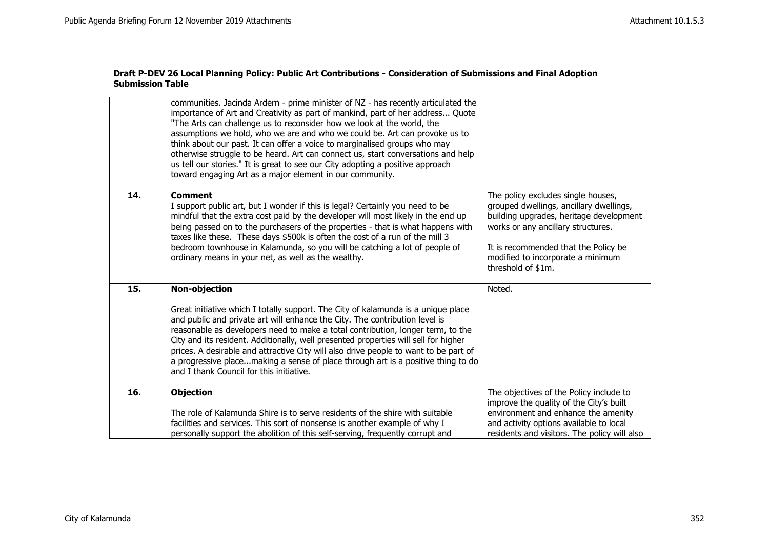|     | communities. Jacinda Ardern - prime minister of NZ - has recently articulated the<br>importance of Art and Creativity as part of mankind, part of her address Quote<br>"The Arts can challenge us to reconsider how we look at the world, the<br>assumptions we hold, who we are and who we could be. Art can provoke us to<br>think about our past. It can offer a voice to marginalised groups who may<br>otherwise struggle to be heard. Art can connect us, start conversations and help<br>us tell our stories." It is great to see our City adopting a positive approach<br>toward engaging Art as a major element in our community. |                                                                                                                                                                                                                                                                   |
|-----|--------------------------------------------------------------------------------------------------------------------------------------------------------------------------------------------------------------------------------------------------------------------------------------------------------------------------------------------------------------------------------------------------------------------------------------------------------------------------------------------------------------------------------------------------------------------------------------------------------------------------------------------|-------------------------------------------------------------------------------------------------------------------------------------------------------------------------------------------------------------------------------------------------------------------|
| 14. | <b>Comment</b><br>I support public art, but I wonder if this is legal? Certainly you need to be<br>mindful that the extra cost paid by the developer will most likely in the end up<br>being passed on to the purchasers of the properties - that is what happens with<br>taxes like these. These days \$500k is often the cost of a run of the mill 3<br>bedroom townhouse in Kalamunda, so you will be catching a lot of people of<br>ordinary means in your net, as well as the wealthy.                                                                                                                                                | The policy excludes single houses,<br>grouped dwellings, ancillary dwellings,<br>building upgrades, heritage development<br>works or any ancillary structures.<br>It is recommended that the Policy be<br>modified to incorporate a minimum<br>threshold of \$1m. |
| 15. | <b>Non-objection</b><br>Great initiative which I totally support. The City of kalamunda is a unique place<br>and public and private art will enhance the City. The contribution level is<br>reasonable as developers need to make a total contribution, longer term, to the<br>City and its resident. Additionally, well presented properties will sell for higher<br>prices. A desirable and attractive City will also drive people to want to be part of<br>a progressive placemaking a sense of place through art is a positive thing to do<br>and I thank Council for this initiative.                                                 | Noted.                                                                                                                                                                                                                                                            |
| 16. | <b>Objection</b><br>The role of Kalamunda Shire is to serve residents of the shire with suitable<br>facilities and services. This sort of nonsense is another example of why I<br>personally support the abolition of this self-serving, frequently corrupt and                                                                                                                                                                                                                                                                                                                                                                            | The objectives of the Policy include to<br>improve the quality of the City's built<br>environment and enhance the amenity<br>and activity options available to local<br>residents and visitors. The policy will also                                              |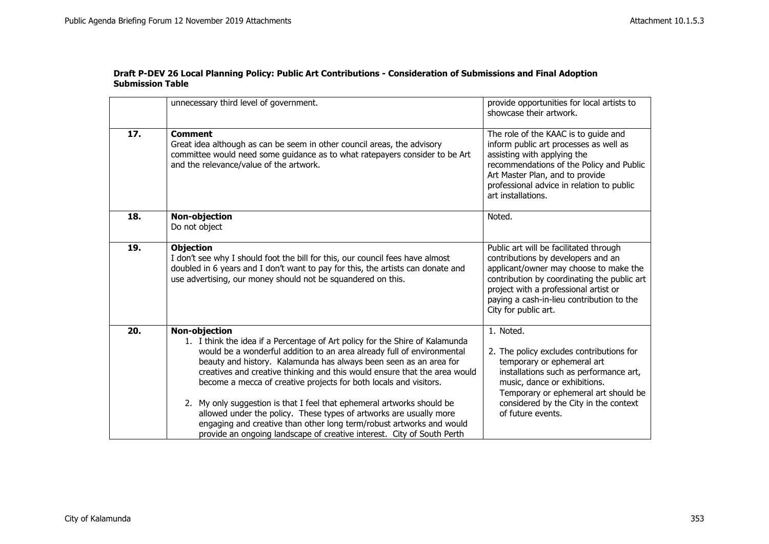|     | unnecessary third level of government.                                                                                                                                                                                                                                                                                                                                                                                                                                                                                                                                                                                                                                                                  | provide opportunities for local artists to<br>showcase their artwork.                                                                                                                                                                                                               |
|-----|---------------------------------------------------------------------------------------------------------------------------------------------------------------------------------------------------------------------------------------------------------------------------------------------------------------------------------------------------------------------------------------------------------------------------------------------------------------------------------------------------------------------------------------------------------------------------------------------------------------------------------------------------------------------------------------------------------|-------------------------------------------------------------------------------------------------------------------------------------------------------------------------------------------------------------------------------------------------------------------------------------|
| 17. | <b>Comment</b><br>Great idea although as can be seem in other council areas, the advisory<br>committee would need some quidance as to what ratepayers consider to be Art<br>and the relevance/value of the artwork.                                                                                                                                                                                                                                                                                                                                                                                                                                                                                     | The role of the KAAC is to guide and<br>inform public art processes as well as<br>assisting with applying the<br>recommendations of the Policy and Public<br>Art Master Plan, and to provide<br>professional advice in relation to public<br>art installations.                     |
| 18. | <b>Non-objection</b><br>Do not object                                                                                                                                                                                                                                                                                                                                                                                                                                                                                                                                                                                                                                                                   | Noted.                                                                                                                                                                                                                                                                              |
| 19. | <b>Objection</b><br>I don't see why I should foot the bill for this, our council fees have almost<br>doubled in 6 years and I don't want to pay for this, the artists can donate and<br>use advertising, our money should not be squandered on this.                                                                                                                                                                                                                                                                                                                                                                                                                                                    | Public art will be facilitated through<br>contributions by developers and an<br>applicant/owner may choose to make the<br>contribution by coordinating the public art<br>project with a professional artist or<br>paying a cash-in-lieu contribution to the<br>City for public art. |
| 20. | <b>Non-objection</b><br>1. I think the idea if a Percentage of Art policy for the Shire of Kalamunda<br>would be a wonderful addition to an area already full of environmental<br>beauty and history. Kalamunda has always been seen as an area for<br>creatives and creative thinking and this would ensure that the area would<br>become a mecca of creative projects for both locals and visitors.<br>2. My only suggestion is that I feel that ephemeral artworks should be<br>allowed under the policy. These types of artworks are usually more<br>engaging and creative than other long term/robust artworks and would<br>provide an ongoing landscape of creative interest. City of South Perth | 1. Noted.<br>2. The policy excludes contributions for<br>temporary or ephemeral art<br>installations such as performance art,<br>music, dance or exhibitions.<br>Temporary or ephemeral art should be<br>considered by the City in the context<br>of future events.                 |